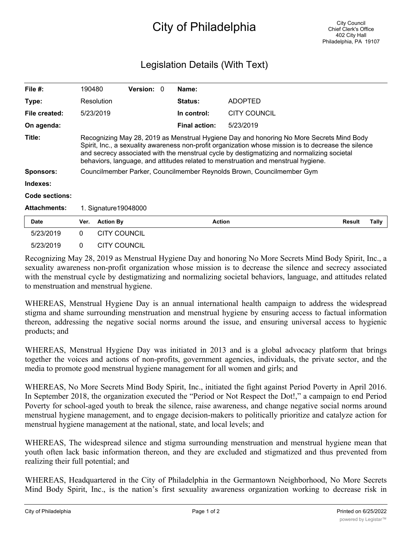## City of Philadelphia

## Legislation Details (With Text)

| File $#$ :            | 190480                                                                                                                                                                                                                                                                                                                                                                              |                     | <b>Version: 0</b> |  | Name:                |                     |               |       |
|-----------------------|-------------------------------------------------------------------------------------------------------------------------------------------------------------------------------------------------------------------------------------------------------------------------------------------------------------------------------------------------------------------------------------|---------------------|-------------------|--|----------------------|---------------------|---------------|-------|
| Type:                 |                                                                                                                                                                                                                                                                                                                                                                                     | Resolution          |                   |  | <b>Status:</b>       | <b>ADOPTED</b>      |               |       |
| File created:         |                                                                                                                                                                                                                                                                                                                                                                                     | 5/23/2019           |                   |  | In control:          | <b>CITY COUNCIL</b> |               |       |
| On agenda:            |                                                                                                                                                                                                                                                                                                                                                                                     |                     |                   |  | <b>Final action:</b> | 5/23/2019           |               |       |
| Title:                | Recognizing May 28, 2019 as Menstrual Hygiene Day and honoring No More Secrets Mind Body<br>Spirit, Inc., a sexuality awareness non-profit organization whose mission is to decrease the silence<br>and secrecy associated with the menstrual cycle by destigmatizing and normalizing societal<br>behaviors, language, and attitudes related to menstruation and menstrual hygiene. |                     |                   |  |                      |                     |               |       |
| <b>Sponsors:</b>      | Councilmember Parker, Councilmember Reynolds Brown, Councilmember Gym                                                                                                                                                                                                                                                                                                               |                     |                   |  |                      |                     |               |       |
| Indexes:              |                                                                                                                                                                                                                                                                                                                                                                                     |                     |                   |  |                      |                     |               |       |
| <b>Code sections:</b> |                                                                                                                                                                                                                                                                                                                                                                                     |                     |                   |  |                      |                     |               |       |
| <b>Attachments:</b>   | 1. Signature 19048000                                                                                                                                                                                                                                                                                                                                                               |                     |                   |  |                      |                     |               |       |
| <b>Date</b>           | Ver.                                                                                                                                                                                                                                                                                                                                                                                | <b>Action By</b>    |                   |  | Action               |                     | <b>Result</b> | Tally |
| 5/23/2019             | $\mathbf{0}$                                                                                                                                                                                                                                                                                                                                                                        | <b>CITY COUNCIL</b> |                   |  |                      |                     |               |       |
| 5/23/2019             | 0                                                                                                                                                                                                                                                                                                                                                                                   | <b>CITY COUNCIL</b> |                   |  |                      |                     |               |       |

Recognizing May 28, 2019 as Menstrual Hygiene Day and honoring No More Secrets Mind Body Spirit, Inc., a sexuality awareness non-profit organization whose mission is to decrease the silence and secrecy associated with the menstrual cycle by destigmatizing and normalizing societal behaviors, language, and attitudes related to menstruation and menstrual hygiene.

WHEREAS, Menstrual Hygiene Day is an annual international health campaign to address the widespread stigma and shame surrounding menstruation and menstrual hygiene by ensuring access to factual information thereon, addressing the negative social norms around the issue, and ensuring universal access to hygienic products; and

WHEREAS, Menstrual Hygiene Day was initiated in 2013 and is a global advocacy platform that brings together the voices and actions of non-profits, government agencies, individuals, the private sector, and the media to promote good menstrual hygiene management for all women and girls; and

WHEREAS, No More Secrets Mind Body Spirit, Inc., initiated the fight against Period Poverty in April 2016. In September 2018, the organization executed the "Period or Not Respect the Dot!," a campaign to end Period Poverty for school-aged youth to break the silence, raise awareness, and change negative social norms around menstrual hygiene management, and to engage decision-makers to politically prioritize and catalyze action for menstrual hygiene management at the national, state, and local levels; and

WHEREAS, The widespread silence and stigma surrounding menstruation and menstrual hygiene mean that youth often lack basic information thereon, and they are excluded and stigmatized and thus prevented from realizing their full potential; and

WHEREAS, Headquartered in the City of Philadelphia in the Germantown Neighborhood, No More Secrets Mind Body Spirit, Inc., is the nation's first sexuality awareness organization working to decrease risk in